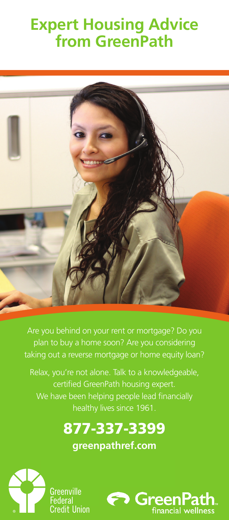# **Expert Housing Advice from GreenPath**



Are you behind on your rent or mortgage? Do you plan to buy a home soon? Are you considering taking out a reverse mortgage or home equity loan?

Relax, you're not alone. Talk to a knowledgeable, we say certified GreenPath housing expert. We have been helping people lead financially healthy lives since 1961.

# 877-337-3399 Obtenga el apoyo que necesita desde la consejería

**greenpathref.com** 



Greenville **Credit Union**